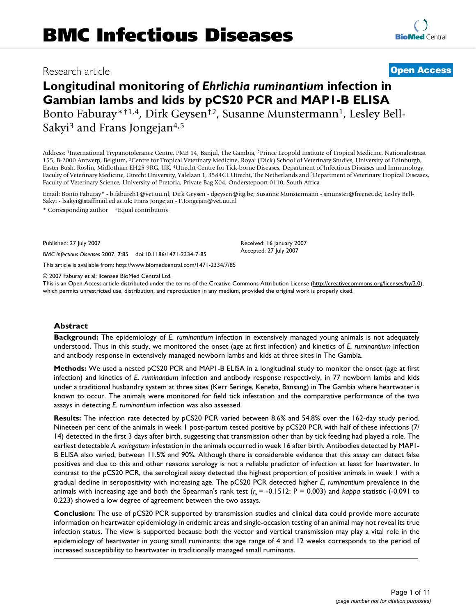# Research article **[Open Access](http://www.biomedcentral.com/info/about/charter/)**

# **Longitudinal monitoring of** *Ehrlichia ruminantium* **infection in Gambian lambs and kids by pCS20 PCR and MAP1-B ELISA** Bonto Faburay\*<sup>†1,4</sup>, Dirk Geysen<sup>†2</sup>, Susanne Munstermann<sup>1</sup>, Lesley Bell-Sakyi<sup>3</sup> and Frans Jongejan<sup>4,5</sup>

Address: 1International Trypanotolerance Centre, PMB 14, Banjul, The Gambia, 2Prince Leopold Institute of Tropical Medicine, Nationalestraat 155, B-2000 Antwerp, Belgium, 3Centre for Tropical Veterinary Medicine, Royal (Dick) School of Veterinary Studies, University of Edinburgh, Easter Bush, Roslin, Midlothian EH25 9RG, UK, 4Utrecht Centre for Tick-borne Diseases, Department of Infectious Diseases and Immunology, Faculty of Veterinary Medicine, Utrecht University, Yalelaan 1, 3584CL Utrecht, The Netherlands and 5Department of Veterinary Tropical Diseases, Faculty of Veterinary Science, University of Pretoria, Private Bag X04, Onderstepoort 0110, South Africa

Email: Bonto Faburay\* - b.fabureh1@vet.uu.nl; Dirk Geysen - dgeysen@itg.be; Susanne Munstermann - smunster@freenet.de; Lesley Bell-Sakyi - lsakyi@staffmail.ed.ac.uk; Frans Jongejan - F.Jongejan@vet.uu.nl

\* Corresponding author †Equal contributors

Published: 27 July 2007

*BMC Infectious Diseases* 2007, **7**:85 doi:10.1186/1471-2334-7-85

[This article is available from: http://www.biomedcentral.com/1471-2334/7/85](http://www.biomedcentral.com/1471-2334/7/85)

© 2007 Faburay et al; licensee BioMed Central Ltd.

This is an Open Access article distributed under the terms of the Creative Commons Attribution License [\(http://creativecommons.org/licenses/by/2.0\)](http://creativecommons.org/licenses/by/2.0), which permits unrestricted use, distribution, and reproduction in any medium, provided the original work is properly cited.

#### **Abstract**

**Background:** The epidemiology of *E. ruminantium* infection in extensively managed young animals is not adequately understood. Thus in this study, we monitored the onset (age at first infection) and kinetics of *E. ruminantium* infection and antibody response in extensively managed newborn lambs and kids at three sites in The Gambia.

**Methods:** We used a nested pCS20 PCR and MAP1-B ELISA in a longitudinal study to monitor the onset (age at first infection) and kinetics of *E. ruminantium* infection and antibody response respectively, in 77 newborn lambs and kids under a traditional husbandry system at three sites (Kerr Seringe, Keneba, Bansang) in The Gambia where heartwater is known to occur. The animals were monitored for field tick infestation and the comparative performance of the two assays in detecting *E. ruminantium* infection was also assessed.

**Results:** The infection rate detected by pCS20 PCR varied between 8.6% and 54.8% over the 162-day study period. Nineteen per cent of the animals in week 1 post-partum tested positive by pCS20 PCR with half of these infections (7/ 14) detected in the first 3 days after birth, suggesting that transmission other than by tick feeding had played a role. The earliest detectable *A. variegatum* infestation in the animals occurred in week 16 after birth. Antibodies detected by MAP1- B ELISA also varied, between 11.5% and 90%. Although there is considerable evidence that this assay can detect false positives and due to this and other reasons serology is not a reliable predictor of infection at least for heartwater. In contrast to the pCS20 PCR, the serological assay detected the highest proportion of positive animals in week 1 with a gradual decline in seropositivity with increasing age. The pCS20 PCR detected higher *E. ruminantium* prevalence in the animals with increasing age and both the Spearman's rank test (*rs* = -0.1512; P = 0.003) and *kappa* statistic (-0.091 to 0.223) showed a low degree of agreement between the two assays.

**Conclusion:** The use of pCS20 PCR supported by transmission studies and clinical data could provide more accurate information on heartwater epidemiology in endemic areas and single-occasion testing of an animal may not reveal its true infection status. The view is supported because both the vector and vertical transmission may play a vital role in the epidemiology of heartwater in young small ruminants; the age range of 4 and 12 weeks corresponds to the period of increased susceptibility to heartwater in traditionally managed small ruminants.

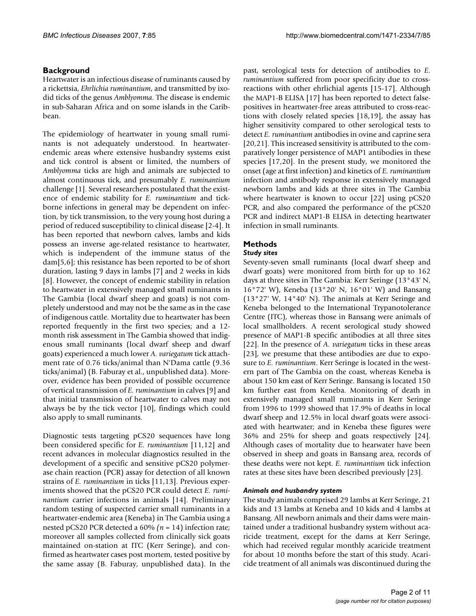# **Background**

Heartwater is an infectious disease of ruminants caused by a rickettsia, *Ehrlichia ruminantium*, and transmitted by ixodid ticks of the genus *Amblyomma*. The disease is endemic in sub-Saharan Africa and on some islands in the Caribbean.

The epidemiology of heartwater in young small ruminants is not adequately understood. In heartwaterendemic areas where extensive husbandry systems exist and tick control is absent or limited, the numbers of *Amblyomma* ticks are high and animals are subjected to almost continuous tick, and presumably *E. ruminantium* challenge [1]. Several researchers postulated that the existence of endemic stability for *E. ruminantium* and tickborne infections in general may be dependent on infection, by tick transmission, to the very young host during a period of reduced susceptibility to clinical disease [2-4]. It has been reported that newborn calves, lambs and kids possess an inverse age-related resistance to heartwater, which is independent of the immune status of the dam[5,6]; this resistance has been reported to be of short duration, lasting 9 days in lambs [7] and 2 weeks in kids [8]. However, the concept of endemic stability in relation to heartwater in extensively managed small ruminants in The Gambia (local dwarf sheep and goats) is not completely understood and may not be the same as in the case of indigenous cattle. Mortality due to heartwater has been reported frequently in the first two species; and a 12 month risk assessment in The Gambia showed that indigenous small ruminants (local dwarf sheep and dwarf goats) experienced a much lower *A. variegatum* tick attachment rate of 0.76 ticks/animal than N'Dama cattle (9.36 ticks/animal) (B. Faburay et al., unpublished data). Moreover, evidence has been provided of possible occurrence of vertical transmission of *E. ruminantium* in calves [9] and that initial transmission of heartwater to calves may not always be by the tick vector [10], findings which could also apply to small ruminants.

Diagnostic tests targeting pCS20 sequences have long been considered specific for *E. ruminantium* [11,12] and recent advances in molecular diagnostics resulted in the development of a specific and sensitive pCS20 polymerase chain reaction (PCR) assay for detection of all known strains of *E. ruminantium* in ticks [11,13]. Previous experiments showed that the pCS20 PCR could detect *E. ruminantium* carrier infections in animals [14]. Preliminary random testing of suspected carrier small ruminants in a heartwater-endemic area (Keneba) in The Gambia using a nested pCS20 PCR detected a 60% *(n* = 14) infection rate; moreover all samples collected from clinically sick goats maintained on-station at ITC (Kerr Seringe), and confirmed as heartwater cases post mortem, tested positive by the same assay (B. Faburay, unpublished data). In the past, serological tests for detection of antibodies to *E. ruminantium* suffered from poor specificity due to crossreactions with other ehrlichial agents [15-17]. Although the MAP1-B ELISA [17] has been reported to detect falsepositives in heartwater-free areas attributed to cross-reactions with closely related species [18,19], the assay has higher sensitivity compared to other serological tests to detect *E. ruminantium* antibodies in ovine and caprine sera [20,21]. This increased sensitivity is attributed to the comparatively longer persistence of MAP1 antibodies in these species [17,20]. In the present study, we monitored the onset (age at first infection) and kinetics of *E. ruminantium* infection and antibody response in extensively managed newborn lambs and kids at three sites in The Gambia where heartwater is known to occur [22] using pCS20 PCR, and also compared the performance of the pCS20 PCR and indirect MAP1-B ELISA in detecting heartwater infection in small ruminants.

# **Methods**

#### *Study sites*

Seventy-seven small ruminants (local dwarf sheep and dwarf goats) were monitored from birth for up to 162 days at three sites in The Gambia: Kerr Seringe (13°43' N, 16°72' W), Keneba (13°20' N, 16°01' W) and Bansang (13°27' W, 14°40' N). The animals at Kerr Seringe and Keneba belonged to the International Trypanotolerance Centre (ITC), whereas those in Bansang were animals of local smallholders. A recent serological study showed presence of MAP1-B specific antibodies at all three sites [22]. In the presence of *A. variegatum* ticks in these areas [23], we presume that these antibodies are due to exposure to *E. ruminantium*. Kerr Seringe is located in the western part of The Gambia on the coast, whereas Keneba is about 150 km east of Kerr Seringe. Bansang is located 150 km further east from Keneba. Monitoring of death in extensively managed small ruminants in Kerr Seringe from 1996 to 1999 showed that 17.9% of deaths in local dwarf sheep and 12.5% in local dwarf goats were associated with heartwater; and in Keneba these figures were 36% and 25% for sheep and goats respectively [24]. Although cases of mortality due to hearwater have been observed in sheep and goats in Bansang area, records of these deaths were not kept. *E. ruminantium* tick infection rates at these sites have been described previously [23].

#### *Animals and husbandry system*

The study animals comprised 29 lambs at Kerr Seringe, 21 kids and 13 lambs at Keneba and 10 kids and 4 lambs at Bansang. All newborn animals and their dams were maintained under a traditional husbandry system without acaricide treatment, except for the dams at Kerr Seringe, which had received regular monthly acaricide treatment for about 10 months before the start of this study. Acaricide treatment of all animals was discontinued during the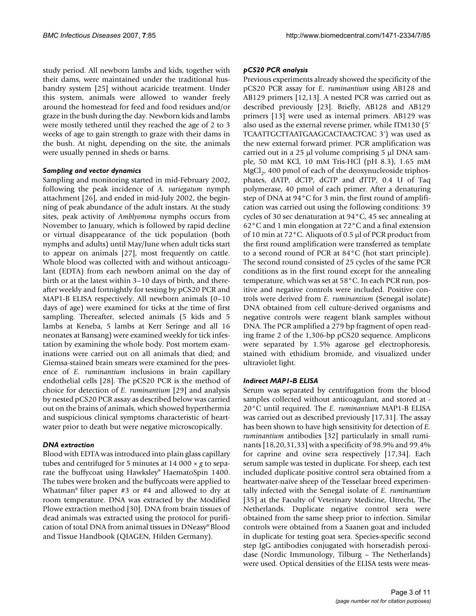study period. All newborn lambs and kids, together with their dams, were maintained under the traditional husbandry system [25] without acaricide treatment. Under this system, animals were allowed to wander freely around the homestead for feed and food residues and/or graze in the bush during the day. Newborn kids and lambs were mostly tethered until they reached the age of 2 to 3 weeks of age to gain strength to graze with their dams in the bush. At night, depending on the site, the animals were usually penned in sheds or barns.

#### *Sampling and vector dynamics*

Sampling and monitoring started in mid-February 2002, following the peak incidence of *A. variegatum* nymph attachment [26], and ended in mid-July 2002, the beginning of peak abundance of the adult instars. At the study sites, peak activity of *Amblyomma* nymphs occurs from November to January, which is followed by rapid decline or virtual disappearance of the tick population (both nymphs and adults) until May/June when adult ticks start to appear on animals [27], most frequently on cattle. Whole blood was collected with and without anticoagulant (EDTA) from each newborn animal on the day of birth or at the latest within 3–10 days of birth, and thereafter weekly and fortnightly for testing by pCS20 PCR and MAP1-B ELISA respectively. All newborn animals (0–10 days of age) were examined for ticks at the time of first sampling. Thereafter, selected animals (5 kids and 5 lambs at Keneba, 5 lambs at Kerr Seringe and all 16 neonates at Bansang) were examined weekly for tick infestation by examining the whole body. Post mortem examinations were carried out on all animals that died; and Giemsa-stained brain smears were examined for the presence of *E. ruminantium* inclusions in brain capillary endothelial cells [28]. The pCS20 PCR is the method of choice for detection of *E. ruminantium* [29] and analysis by nested pCS20 PCR assay as described below was carried out on the brains of animals, which showed hyperthermia and suspicious clinical symptoms characteristic of heartwater prior to death but were negative microscopically.

# *DNA extraction*

Blood with EDTA was introduced into plain glass capillary tubes and centrifuged for 5 minutes at 14 000 × *g* to separate the buffycoat using Hawksley® HaematoSpin 1400. The tubes were broken and the buffycoats were applied to Whatman® filter paper #3 or #4 and allowed to dry at room temperature. DNA was extracted by the Modified Plowe extraction method [30]. DNA from brain tissues of dead animals was extracted using the protocol for purification of total DNA from animal tissues in DNeasy® Blood and Tissue Handbook (QIAGEN, Hilden Germany).

# *pCS20 PCR analysis*

Previous experiments already showed the specificity of the pCS20 PCR assay for *E. ruminantium* using AB128 and AB129 primers [12,13]. A nested PCR was carried out as described previously [23]. Briefly, AB128 and AB129 primers [13] were used as internal primers. AB129 was also used as the external reverse primer, while ITM130 (5' TCAATTGCTTAATGAAGCACTAACTCAC 3') was used as the new external forward primer. PCR amplification was carried out in a 25  $\mu$ l volume comprising 5  $\mu$ l DNA sample, 50 mM KCl, 10 mM Tris-HCl (pH 8.3), 1.65 mM  $MgCl<sub>2</sub>$ , 400 pmol of each of the deoxynucleoside triphosphates, dATP, dCTP, dGTP and dTTP, 0.4 U of Taq polymerase, 40 pmol of each primer. After a denaturing step of DNA at 94°C for 3 min, the first round of amplification was carried out using the following conditions: 39 cycles of 30 sec denaturation at 94°C, 45 sec annealing at 62°C and 1 min elongation at 72°C and a final extension of 10 min at 72°C. Aliquots of 0.5 µl of PCR product from the first round amplification were transferred as template to a second round of PCR at 84°C (hot start principle). The second round consisted of 25 cycles of the same PCR conditions as in the first round except for the annealing temperature, which was set at 58°C. In each PCR run, positive and negative controls were included. Positive controls were derived from *E. ruminantium* (Senegal isolate) DNA obtained from cell culture-derived organisms and negative controls were reagent blank samples without DNA. The PCR amplified a 279 bp fragment of open reading frame 2 of the 1,306-bp pCS20 sequence. Amplicons were separated by 1.5% agarose gel electrophoresis, stained with ethidium bromide, and visualized under ultraviolet light.

# *Indirect MAP1-B ELISA*

Serum was separated by centrifugation from the blood samples collected without anticoagulant, and stored at - 20°C until required. The *E. ruminantium* MAP1-B ELISA was carried out as described previously [17,31]. The assay has been shown to have high sensitivity for detection of *E. ruminantium* antibodies [32] particularly in small ruminants [18,20,31,33] with a specificity of 98.9% and 99.4% for caprine and ovine sera respectively [17,34]. Each serum sample was tested in duplicate. For sheep, each test included duplicate positive control sera obtained from a heartwater-naïve sheep of the Tesselaar breed experimentally infected with the Senegal isolate of *E. ruminantium* [35] at the Faculty of Veterinary Medicine, Utrecht, The Netherlands. Duplicate negative control sera were obtained from the same sheep prior to infection. Similar controls were obtained from a Saanen goat and included in duplicate for testing goat sera. Species-specific second step IgG antibodies conjugated with horseradish peroxidase (Nordic Immunology, Tilburg – The Netherlands) were used. Optical densities of the ELISA tests were meas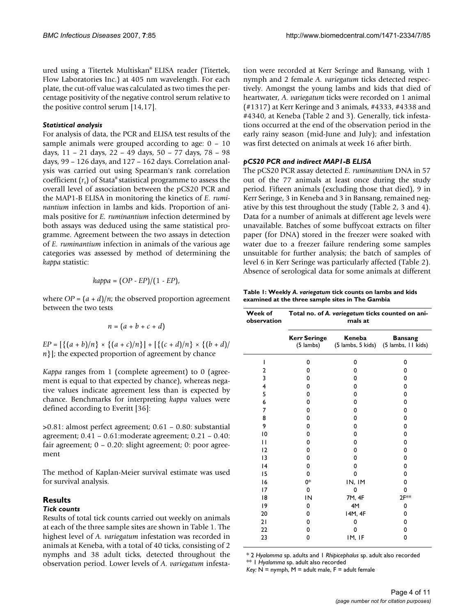ured using a Titertek Multiskan® ELISA reader (Titertek, Flow Laboratories Inc.) at 405 nm wavelength. For each plate, the cut-off value was calculated as two times the percentage positivity of the negative control serum relative to the positive control serum [14,17].

#### *Statistical analysis*

For analysis of data, the PCR and ELISA test results of the sample animals were grouped according to age: 0 – 10 days, 11 – 21 days, 22 – 49 days, 50 – 77 days, 78 – 98 days, 99 – 126 days, and 127 – 162 days. Correlation analysis was carried out using Spearman's rank correlation coefficient (*rs* ) of Stata® statistical programme to assess the overall level of association between the pCS20 PCR and the MAP1-B ELISA in monitoring the kinetics of *E. ruminantium* infection in lambs and kids. Proportion of animals positive for *E. ruminantium* infection determined by both assays was deduced using the same statistical programme. Agreement between the two assays in detection of *E. ruminantium* infection in animals of the various age categories was assessed by method of determining the *kappa* statistic:

$$
kappa = (OP - EP)/(1 - EP),
$$

where  $OP = (a + d)/n$ ; the observed proportion agreement between the two tests

$$
n = (a + b + c + d)
$$

*EP* =  $\left[\frac{\{(a + b)/n\}}{2} \times \frac{\{(a + c)/n\}}{2} + \frac{\{(c + d)/n\}}{2} \times \frac{\{(b + d)/n\}}{2} \right]$ *n*}]; the expected proportion of agreement by chance

*Kappa* ranges from 1 (complete agreement) to 0 (agreement is equal to that expected by chance), whereas negative values indicate agreement less than is expected by chance. Benchmarks for interpreting *kappa* values were defined according to Everitt [36]:

>0.81: almost perfect agreement; 0.61 – 0.80: substantial agreement; 0.41 – 0.61:moderate agreement; 0.21 – 0.40: fair agreement; 0 – 0.20: slight agreement; 0: poor agreement

The method of Kaplan-Meier survival estimate was used for survival analysis.

# **Results**

#### *Tick counts*

Results of total tick counts carried out weekly on animals at each of the three sample sites are shown in Table 1. The highest level of *A. variegatum* infestation was recorded in animals at Keneba, with a total of 40 ticks, consisting of 2 nymphs and 38 adult ticks, detected throughout the observation period. Lower levels of *A. variegatum* infestation were recorded at Kerr Seringe and Bansang, with 1 nymph and 2 female *A. variegatum* ticks detected respectively. Amongst the young lambs and kids that died of heartwater, *A. variegatum* ticks were recorded on 1 animal (#1317) at Kerr Keringe and 3 animals, #4333, #4338 and #4340, at Keneba (Table 2 and 3). Generally, tick infestations occurred at the end of the observation period in the early rainy season (mid-June and July); and infestation was first detected on animals at week 16 after birth.

#### *pCS20 PCR and indirect MAP1-B ELISA*

The pCS20 PCR assay detected *E. ruminantium* DNA in 57 out of the 77 animals at least once during the study period. Fifteen animals (excluding those that died), 9 in Kerr Seringe, 3 in Keneba and 3 in Bansang, remained negative by this test throughout the study (Table 2, 3 and 4). Data for a number of animals at different age levels were unavailable. Batches of some buffycoat extracts on filter paper (for DNA) stored in the freezer were soaked with water due to a freezer failure rendering some samples unsuitable for further analysis; the batch of samples of level 6 in Kerr Seringe was particularly affected (Table 2). Absence of serological data for some animals at different

**Table 1: Weekly** *A. variegatum* **tick counts on lambs and kids examined at the three sample sites in The Gambia**

| Week of<br>observation | Total no. of A. variegatum ticks counted on ani-<br>mals at |         |                                                        |  |  |  |  |  |
|------------------------|-------------------------------------------------------------|---------|--------------------------------------------------------|--|--|--|--|--|
|                        | <b>Kerr Seringe</b><br>(5 lambs)                            | Keneba  | <b>Bansang</b><br>(5 lambs, 5 kids) (5 lambs, 11 kids) |  |  |  |  |  |
| I                      | 0                                                           | 0       | 0                                                      |  |  |  |  |  |
| $\overline{2}$         | 0                                                           | 0       | 0                                                      |  |  |  |  |  |
| 3                      | 0                                                           | 0       | 0                                                      |  |  |  |  |  |
| 4                      | 0                                                           | 0       | 0                                                      |  |  |  |  |  |
| 5                      | 0                                                           | 0       | 0                                                      |  |  |  |  |  |
| 6                      | 0                                                           | 0       | 0                                                      |  |  |  |  |  |
| 7                      | 0                                                           | 0       | 0                                                      |  |  |  |  |  |
| 8                      | 0                                                           | 0       | 0                                                      |  |  |  |  |  |
| 9                      | 0                                                           | 0       | 0                                                      |  |  |  |  |  |
| 10                     | 0                                                           | 0       | 0                                                      |  |  |  |  |  |
| П                      | 0                                                           | 0       | 0                                                      |  |  |  |  |  |
| 12                     | 0                                                           | 0       | 0                                                      |  |  |  |  |  |
| 13                     | 0                                                           | 0       | 0                                                      |  |  |  |  |  |
| 4                      | 0                                                           | 0       | 0                                                      |  |  |  |  |  |
| 15                     | 0                                                           | 0       | 0                                                      |  |  |  |  |  |
| 16                     | 0*                                                          | IN, IM  | 0                                                      |  |  |  |  |  |
| 17                     | 0                                                           | 0       | 0                                                      |  |  |  |  |  |
| 18                     | IN                                                          | 7M, 4F  | $2F**$                                                 |  |  |  |  |  |
| 19                     | 0                                                           | 4M      | 0                                                      |  |  |  |  |  |
| 20                     | 0                                                           | 14M, 4F | 0                                                      |  |  |  |  |  |
| 21                     | 0                                                           | 0       | 0                                                      |  |  |  |  |  |
| 22                     | 0                                                           | 0       | 0                                                      |  |  |  |  |  |
| 23                     | 0                                                           | IM, IF  | 0                                                      |  |  |  |  |  |

\* 2 *Hyalomma* sp. adults and 1 *Rhipicephalus* sp. adult also recorded

\*\* 1 *Hyalomma* sp. adult also recorded

 $Key: N =$  nymph,  $M =$  adult male,  $F =$  adult female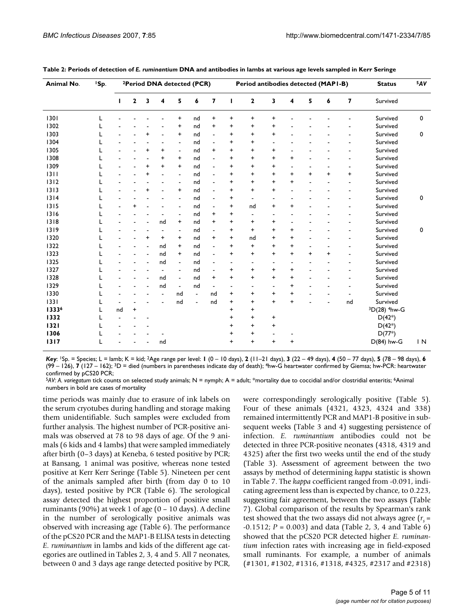| <b>Animal No.</b> | 'Sp. |    |           |              |                | <sup>2</sup> Period DNA detected (PCR) |                |                          |                         | Period antibodies detected (MAPI-B) |              |           |           |           |                | <b>Status</b>                        | 5AV            |  |
|-------------------|------|----|-----------|--------------|----------------|----------------------------------------|----------------|--------------------------|-------------------------|-------------------------------------|--------------|-----------|-----------|-----------|----------------|--------------------------------------|----------------|--|
|                   |      |    | I         | $\mathbf{2}$ | 3              | 4                                      | 5              | 6                        | $\overline{\mathbf{z}}$ | ı                                   | $\mathbf{2}$ | 3         | 4         | 5         | 6              | $\overline{\mathbf{z}}$              | Survived       |  |
| 1301              |      |    |           |              |                | +                                      | nd             | +                        | +                       | +                                   | $\ddot{}$    |           |           |           |                | Survived                             | $\mathbf 0$    |  |
| 1302              |      |    |           |              |                | $\ddot{}$                              | nd             | +                        | $\ddot{}$               | +                                   | $\ddot{}$    |           |           |           |                | Survived                             |                |  |
| 1303              |      |    |           | $\ddot{}$    |                | $\ddot{}$                              | nd             |                          | $\ddot{}$               | +                                   | $\ddot{}$    |           |           |           |                | Survived                             | 0              |  |
| 1304              |      |    |           |              |                | $\overline{\phantom{a}}$               | nd             |                          | +                       | +                                   |              |           |           |           |                | Survived                             |                |  |
| 1305              |      |    |           | +            | +              | $\overline{\phantom{a}}$               | nd             | +                        | +                       | +                                   | +            |           |           |           |                | Survived                             |                |  |
| 1308              |      |    |           |              | +              | +                                      | nd             |                          | $\ddot{}$               | $\ddot{}$                           | +            | +         |           |           | $\blacksquare$ | Survived                             |                |  |
| 1309              |      |    |           | $\ddot{}$    | $\ddot{}$      | $\ddot{}$                              | nd             |                          | $\ddot{}$               | +                                   | +            |           |           |           | $\overline{a}$ | Survived                             |                |  |
| 1311              |      |    |           | $\ddot{}$    |                | $\blacksquare$                         | nd             |                          | $\ddot{}$               | <sup>+</sup>                        | $\ddot{}$    | $\ddot{}$ | $\ddot{}$ | $\ddot{}$ | $\ddot{}$      | Survived                             |                |  |
| $1312$            |      |    |           |              |                | $\overline{\phantom{a}}$               | nd             |                          | $\ddot{}$               | +                                   | $\ddot{}$    | +         |           |           |                | Survived                             |                |  |
| 1313              |      |    |           | +            |                | $\ddot{}$                              | nd             |                          | $\ddot{}$               | +                                   | +            |           |           |           |                | Survived                             |                |  |
| $1314$            |      |    |           |              |                | $\blacksquare$                         | nd             |                          | $\ddot{}$               | $\blacksquare$                      |              |           |           |           | L              | Survived                             | 0              |  |
| 1315              |      |    | ÷         |              |                | $\blacksquare$                         | nd             | $\blacksquare$           | +                       | nd                                  | $\ddot{}$    | +         |           |           | ÷,             | Survived                             |                |  |
| 1316              |      |    |           |              |                | ٠                                      | nd             | +                        | $\ddot{}$               | ٠                                   |              |           |           |           |                | Survived                             |                |  |
| 1318              |      |    |           |              | nd             | $\ddot{}$                              | nd             | +                        | +                       | +                                   | +            |           |           |           | ٠              | Survived                             |                |  |
| 1319              |      |    |           |              | $\blacksquare$ | $\overline{\phantom{a}}$               | nd             | $\overline{\phantom{a}}$ | $\ddot{}$               | +                                   | $\ddot{}$    | $\ddot{}$ |           |           |                | Survived                             | 0              |  |
| 1320              |      |    |           | $\ddot{}$    | $\ddot{}$      | +                                      | nd             | +                        | $\ddot{}$               | nd                                  | +            | +         |           |           | $\blacksquare$ | Survived                             |                |  |
| 1322              |      |    |           |              | nd             | +                                      | nd             |                          | $\ddot{}$               | +                                   | +            | +         |           |           | ÷,             | Survived                             |                |  |
| 1323              |      |    |           |              | nd             | $\ddot{}$                              | nd             |                          | $\ddot{}$               | +                                   | $\ddot{}$    | $\ddot{}$ | $\ddot{}$ | $\ddot{}$ |                | Survived                             |                |  |
| 1325              |      |    |           |              | nd             | ÷,                                     | nd             |                          |                         |                                     |              |           |           |           |                | Survived                             |                |  |
| 1327              |      |    |           |              |                | $\blacksquare$                         | nd             |                          | $\ddot{}$               | +                                   | +            | +         |           |           |                | Survived                             |                |  |
| 1328              |      |    |           |              | nd             | $\blacksquare$                         | nd             | +                        | $\ddot{}$               | $\ddot{}$                           | $\ddot{}$    | $\ddot{}$ |           |           | ÷,             | Survived                             |                |  |
| 1329              |      |    |           |              | nd             | $\blacksquare$                         | nd             | $\overline{\phantom{a}}$ | $\blacksquare$          |                                     |              | +         |           |           | ÷,             | Survived                             |                |  |
| 1330              |      |    |           |              |                | nd                                     | $\blacksquare$ | nd                       | $\ddot{}$               | +                                   | +            | +         |           |           | $\blacksquare$ | Survived                             |                |  |
| 1331              |      |    |           |              |                | nd                                     | $\blacksquare$ | nd                       | $\ddot{}$               | +                                   | $\ddot{}$    | $\ddot{}$ |           |           | nd             | Survived                             |                |  |
| 13336             |      | nd | $\ddot{}$ |              |                |                                        |                |                          | $\ddot{}$               | +                                   |              |           |           |           |                | <sup>3</sup> D(28) <sup>4</sup> hw-G |                |  |
| 1332              |      |    |           |              |                |                                        |                |                          | +                       | +                                   | +            |           |           |           |                | $D(42*)$                             |                |  |
| 1321              |      |    |           |              |                |                                        |                |                          | +                       | $\ddot{}$                           | +            |           |           |           |                | $D(42*)$                             |                |  |
| 1306              |      |    |           |              |                |                                        |                |                          | +                       | +                                   |              |           |           |           |                | $D(77*)$                             |                |  |
| 1317              | L    |    |           |              | nd             |                                        |                |                          | +                       | $\ddot{}$                           | +            | $\ddot{}$ |           |           |                | $D(84)$ hw-G                         | $\mathsf{I}$ N |  |

*Key*: 1Sp. = Species; L = lamb; K = kid; 2Age range per level: **1** (0 – 10 days), **2** (11–21 days), **3** (22 – 49 days), **4** (50 – 77 days), **5** (78 – 98 days), **6**  (99 – 126), **7** (127 – 162); 3D = died (numbers in parentheses indicate day of death); 4hw-G heartwater confirmed by Giemsa; hw-PCR: heartwater confirmed by pCS20 PCR;

<sup>5</sup>*AV: A. variegatum* tick counts on selected study animals; N = nymph; A = adult; \*mortality due to coccidial and/or clostridial enteritis; 6Animal numbers in bold are cases of mortality

time periods was mainly due to erasure of ink labels on the serum cryotubes during handling and storage making them unidentifiable. Such samples were excluded from further analysis. The highest number of PCR-positive animals was observed at 78 to 98 days of age. Of the 9 animals (6 kids and 4 lambs) that were sampled immediately after birth (0–3 days) at Keneba, 6 tested positive by PCR; at Bansang, 1 animal was positive, whereas none tested positive at Kerr Kerr Seringe (Table 5). Nineteen per cent of the animals sampled after birth (from day 0 to 10 days), tested positive by PCR (Table 6). The serological assay detected the highest proportion of positive small ruminants (90%) at week 1 of age (0 – 10 days). A decline in the number of serologically positive animals was observed with increasing age (Table 6). The performance of the pCS20 PCR and the MAP1-B ELISA tests in detecting *E. ruminantium* in lambs and kids of the different age categories are outlined in Tables 2, 3, 4 and 5. All 7 neonates, between 0 and 3 days age range detected positive by PCR,

were correspondingly serologically positive (Table 5). Four of these animals (4321, 4323, 4324 and 338) remained intermittently PCR and MAP1-B positive in subsequent weeks (Table 3 and 4) suggesting persistence of infection. *E. ruminantium* antibodies could not be detected in three PCR-positive neonates (4318, 4319 and 4325) after the first two weeks until the end of the study (Table 3). Assessment of agreement between the two assays by method of determining *kappa* statistic is shown in Table 7. The *kappa* coefficient ranged from -0.091, indicating agreement less than is expected by chance, to 0.223, suggesting fair agreement, between the two assays (Table 7). Global comparison of the results by Spearman's rank test showed that the two assays did not always agree  $(r_s =$ -0.1512; *P* = 0.003) and data (Table 2, 3, 4 and Table 6) showed that the pCS20 PCR detected higher *E. ruminantium* infection rates with increasing age in field-exposed small ruminants. For example, a number of animals (#1301, #1302, #1316, #1318, #4325, #2317 and #2318)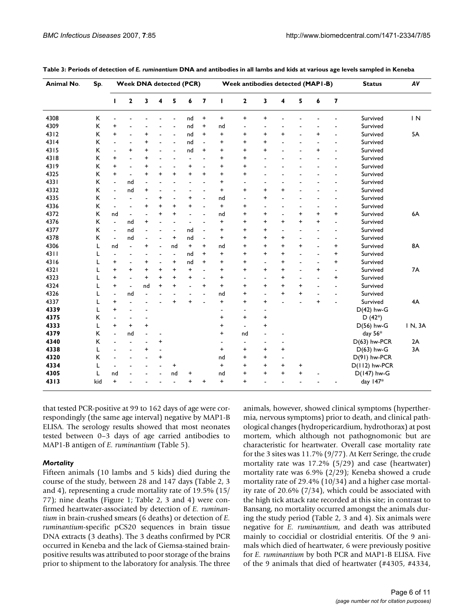| Animal No. | Sp. |                          | <b>Week DNA detected (PCR)</b> |                |                          |                          |                |                |           | Week antibodies detected (MAPI-B) |                          |                |                |                |                | <b>Status</b>   | AV             |  |  |
|------------|-----|--------------------------|--------------------------------|----------------|--------------------------|--------------------------|----------------|----------------|-----------|-----------------------------------|--------------------------|----------------|----------------|----------------|----------------|-----------------|----------------|--|--|
|            |     | L                        | $\mathbf 2$                    | 3              | 4                        | 5                        | 6              | 7              | т         | $\mathbf 2$                       | 3                        | 4              | 5              | 6              | 7              |                 |                |  |  |
| 4308       | К   |                          |                                |                |                          |                          | nd             | +              | $\ddot{}$ | $\ddot{}$                         | $\ddot{}$                |                |                |                |                | Survived        | $\mathsf{I}$ N |  |  |
| 4309       | Κ   | $\ddot{}$                |                                |                |                          |                          | nd             | $\ddot{}$      | nd        |                                   |                          |                |                |                |                | Survived        |                |  |  |
| 4312       | К   | $\ddot{}$                |                                | +              |                          | ٠                        | nd             | $\ddot{}$      | $\ddot{}$ | +                                 | +                        | $\pmb{+}$      |                | $\ddot{}$      |                | Survived        | 5A             |  |  |
| 4314       | к   | $\overline{\phantom{a}}$ | $\overline{\phantom{a}}$       | +              |                          | $\overline{\phantom{a}}$ | nd             | $\blacksquare$ | +         | $\ddot{}$                         | $\ddot{}$                |                |                |                | $\blacksquare$ | Survived        |                |  |  |
| 4315       | Κ   | $\overline{\phantom{a}}$ | $\ddot{}$                      | +              |                          | $\overline{\phantom{a}}$ | nd             | $\ddot{}$      | +         | $\ddot{}$                         | $\ddot{}$                |                |                | $\ddot{}$      |                | Survived        |                |  |  |
| 4318       | Κ   | $\pmb{+}$                | ٠                              | +              |                          |                          | $\blacksquare$ | ٠              | +         | $\ddot{}$                         |                          |                |                |                |                | Survived        |                |  |  |
| 4319       | Κ   | $\ddot{}$                | ÷,                             | $\ddot{}$      |                          |                          | $\ddot{}$      |                | $\ddot{}$ | $\ddot{}$                         |                          |                |                |                |                | Survived        |                |  |  |
| 4325       | K   | $\ddot{}$                | ÷,                             | $\ddot{}$      | $\ddot{}$                | $\ddot{}$                | $\ddot{}$      | $\ddot{}$      | $\ddot{}$ | $\ddot{}$                         |                          |                |                |                |                | Survived        |                |  |  |
| 4331       | K   | $\blacksquare$           | nd                             | $\blacksquare$ |                          |                          |                |                | $\ddot{}$ |                                   | $\blacksquare$           |                |                |                |                | Survived        |                |  |  |
| 4332       | Κ   | $\overline{a}$           | nd                             | +              | $\overline{\phantom{a}}$ |                          |                | $\blacksquare$ | +         | $\ddot{}$                         | $\ddot{}$                | $\ddot{}$      |                |                | $\blacksquare$ | Survived        |                |  |  |
| 4335       | K   | $\blacksquare$           | $\blacksquare$                 | ä,             | +                        |                          | +              | $\blacksquare$ | nd        | ÷,                                | +                        | $\overline{a}$ |                |                | $\blacksquare$ | Survived        |                |  |  |
| 4336       | Κ   | $\blacksquare$           | $\overline{a}$                 | $\ddot{}$      | +                        | $\ddot{}$                | $\ddot{}$      | ÷,             | $\ddot{}$ | $\ddot{}$                         | $\overline{a}$           | $\overline{a}$ | $\blacksquare$ |                | $\blacksquare$ | Survived        |                |  |  |
| 4372       | К   | nd                       | $\blacksquare$                 | ä,             | +                        | +                        |                | ä,             | nd        | +                                 | +                        | $\blacksquare$ | +              | $\ddot{}$      | $\ddot{}$      | Survived        | 6A             |  |  |
| 4376       | Κ   | $\frac{1}{2}$            | nd                             | +              |                          | ٠                        | $\blacksquare$ | ٠              | +         | +                                 | +                        | +              | $\ddot{}$      | $\ddot{}$      | L.             | Survived        |                |  |  |
| 4377       | К   | $\blacksquare$           | nd                             |                |                          | $\blacksquare$           | nd             | $\overline{a}$ | +         | $\ddot{}$                         | +                        | $\blacksquare$ |                |                | L.             | Survived        |                |  |  |
| 4378       | Κ   | $\blacksquare$           | nd                             | ä,             |                          | +                        | nd             | ÷,             | +         | $\ddot{}$                         | +                        | $\pmb{+}$      |                | ÷.             | $\blacksquare$ | Survived        |                |  |  |
| 4306       | L   | nd                       |                                | $\ddot{}$      |                          | nd                       | $\ddot{}$      | $\ddot{}$      | nd        | $\ddot{}$                         | $\ddot{}$                | $\ddot{}$      | $\ddot{}$      |                | $\ddot{}$      | Survived        | 8A             |  |  |
| 4311       | L   | $\blacksquare$           | $\overline{a}$                 |                | $\blacksquare$           | $\blacksquare$           | nd             | $\ddot{}$      | $\ddot{}$ | $\ddot{}$                         | $\ddot{}$                | $\ddot{}$      | ٠              | $\overline{a}$ | $\ddot{}$      | Survived        |                |  |  |
| 4316       | L   | $\ddot{}$                | $\overline{\phantom{a}}$       | $\ddot{}$      | $\overline{\phantom{a}}$ | $\ddot{}$                | nd             | $\ddot{}$      | $\ddot{}$ | $\ddot{}$                         | $\blacksquare$           | $\ddot{}$      | $\blacksquare$ | ÷.             | $\ddot{}$      | Survived        |                |  |  |
| 4321       | L   | $\ddot{}$                | $\ddot{}$                      | $\ddot{}$      | $\ddot{}$                | $\ddot{}$                | $\ddot{}$      | ä,             | $\ddot{}$ | $\ddot{}$                         | $\ddot{}$                | $\ddot{}$      | $\blacksquare$ | $\ddot{}$      | $\overline{a}$ | Survived        | <b>7A</b>      |  |  |
| 4323       | L   | $\ddot{}$                | $\blacksquare$                 | +              | $\ddot{}$                | +                        | +              | ä,             | +         | ÷                                 | $\blacksquare$           | $\ddot{}$      | ÷              | $\blacksquare$ | $\ddot{}$      | Survived        |                |  |  |
| 4324       |     | $\ddot{}$                | $\blacksquare$                 | nd             | +                        | +                        |                | $\ddot{}$      | $\ddot{}$ | $\ddot{}$                         | +                        | $\ddot{}$      | $\ddot{}$      | $\overline{a}$ | L.             | Survived        |                |  |  |
| 4326       |     | $\overline{\phantom{a}}$ | nd                             | Ē,             |                          |                          |                |                | nd        | +                                 | $\overline{\phantom{a}}$ | $\ddot{}$      | $\ddot{}$      |                |                | Survived        |                |  |  |
| 4337       | L   | $\ddot{}$                |                                |                |                          | +                        | +              |                | $\ddot{}$ | $\ddot{}$                         | $\ddot{}$                | $\overline{a}$ |                | $\ddot{}$      |                | Survived        | 4A             |  |  |
| 4339       | L   | $\ddot{}$                |                                |                |                          |                          |                |                |           |                                   | $\blacksquare$           |                |                |                |                | $D(42)$ hw-G    |                |  |  |
| 4375       | Κ   | $\blacksquare$           | $\blacksquare$                 | $\blacksquare$ |                          |                          |                |                | +         | +                                 | +                        |                |                |                |                | $D(42*)$        |                |  |  |
| 4333       | L   | $\ddot{}$                | $+$                            | $\ddot{}$      |                          |                          |                |                | +         |                                   | $\ddot{}$                |                |                |                |                | $D(56)$ hw-G    | I N, 3A        |  |  |
| 4379       | Κ   | $\blacksquare$           | nd                             | $\blacksquare$ | $\blacksquare$           |                          |                |                | +         | nd                                | $\overline{a}$           |                |                |                |                | day 56*         |                |  |  |
| 4340       | Κ   |                          | $\overline{a}$                 |                | +                        |                          |                |                |           |                                   |                          |                |                |                |                | $D(63)$ hw-PCR  | 2A             |  |  |
| 4338       | L   |                          |                                | +              | $\blacksquare$           |                          |                |                | +         | $\ddot{}$                         | +                        | $\ddot{}$      |                |                |                | $D(63)$ hw-G    | 3A             |  |  |
| 4320       | Κ   |                          |                                |                | +                        |                          |                |                | nd        | +                                 | $\ddot{}$                | $\blacksquare$ |                |                |                | D(91) hw-PCR    |                |  |  |
| 4334       | L   | $\blacksquare$           |                                |                |                          | $\ddot{}$                |                |                | $\ddot{}$ | $\ddot{}$                         | $\ddot{}$                | $\ddot{}$      | +              |                |                | $D(112)$ hw-PCR |                |  |  |
| 4305       | L   | nd                       |                                |                | $\blacksquare$           | nd                       | +              |                | nd        | +                                 | $\ddot{}$                | $\ddot{}$      | +              |                |                | $D(147)$ hw-G   |                |  |  |
| 4313       | kid | $\ddot{}$                |                                |                |                          |                          | $\ddot{}$      | +              | $\ddot{}$ | $\ddot{}$                         |                          |                |                |                |                | day $147*$      |                |  |  |

| Table 3: Periods of detection of E. ruminantium DNA and antibodies in all lambs and kids at various age levels sampled in Keneba |  |  |
|----------------------------------------------------------------------------------------------------------------------------------|--|--|
|----------------------------------------------------------------------------------------------------------------------------------|--|--|

that tested PCR-positive at 99 to 162 days of age were correspondingly (the same age interval) negative by MAP1-B ELISA. The serology results showed that most neonates tested between 0–3 days of age carried antibodies to MAP1-B antigen of *E. ruminantium* (Table 5).

#### *Mortality*

Fifteen animals (10 lambs and 5 kids) died during the course of the study, between 28 and 147 days (Table 2, 3 and 4), representing a crude mortality rate of 19.5% (15/ 77); nine deaths (Figure 1; Table 2, 3 and 4) were confirmed heartwater-associated by detection of *E. ruminantium* in brain-crushed smears (6 deaths) or detection of *E. ruminantium*-specific pCS20 sequences in brain tissue DNA extracts (3 deaths). The 3 deaths confirmed by PCR occurred in Keneba and the lack of Giemsa-stained brainpositive results was attributed to poor storage of the brains prior to shipment to the laboratory for analysis. The three animals, however, showed clinical symptoms (hyperthermia, nervous symptoms) prior to death, and clinical pathological changes (hydropericardium, hydrothorax) at post mortem, which although not pathognomonic but are characteristic for heartwater. Overall case mortality rate for the 3 sites was 11.7% (9/77). At Kerr Seringe, the crude mortality rate was 17.2% (5/29) and case (heartwater) mortality rate was 6.9% (2/29); Keneba showed a crude mortality rate of 29.4% (10/34) and a higher case mortality rate of 20.6% (7/34), which could be associated with the high tick attack rate recorded at this site; in contrast to Bansang, no mortality occurred amongst the animals during the study period (Table 2, 3 and 4). Six animals were negative for *E. ruminantium*, and death was attributed mainly to coccidial or clostridial enteritis. Of the 9 animals which died of heartwater, 6 were previously positive for *E. ruminantium* by both PCR and MAP1-B ELISA. Five of the 9 animals that died of heartwater (#4305, #4334,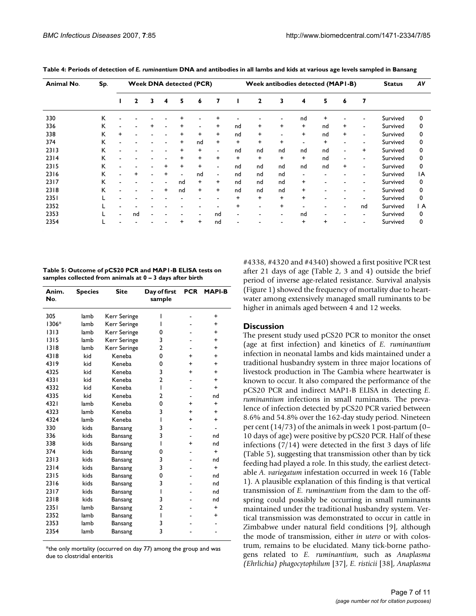| Animal No.<br>Sp. |   |                |              |                          |                |                          | <b>Week DNA detected (PCR)</b> |                          |                          | Week antibodies detected (MAPI-B) |                          |                |                          |           |                          | <b>Status</b> | AV  |
|-------------------|---|----------------|--------------|--------------------------|----------------|--------------------------|--------------------------------|--------------------------|--------------------------|-----------------------------------|--------------------------|----------------|--------------------------|-----------|--------------------------|---------------|-----|
|                   |   |                | $\mathbf{2}$ | 3                        | 4              | 5                        | 6                              | 7                        |                          | $\mathbf{z}$                      | 3                        | 4              | 5                        | 6         | 7                        |               |     |
| 330               | к |                |              |                          |                |                          |                                | +                        |                          |                                   |                          | nd             | $\ddot{}$                |           |                          | Survived      | 0   |
| 336               | К |                |              | $\ddot{}$                | $\overline{a}$ | $\ddot{}$                | $\qquad \qquad \blacksquare$   | $\ddot{}$                | nd                       | $\ddot{}$                         | +                        | +              | nd                       | +         | $\overline{\phantom{a}}$ | Survived      | 0   |
| 338               | К | +              |              | $\blacksquare$           |                | $\ddot{}$                | $\ddot{}$                      | $\ddot{}$                | nd                       | $\ddot{}$                         | ۰                        | +              | nd                       | $\ddot{}$ | $\overline{\phantom{a}}$ | Survived      | 0   |
| 374               | K |                |              |                          |                | $\ddot{}$                | nd                             | $\ddot{}$                | $\ddot{}$                | $\ddot{}$                         | +                        | $\blacksquare$ | $\ddot{}$                | ۰         | ٠                        | Survived      | 0   |
| 2313              | K |                |              |                          |                | $\ddot{}$                | $\ddot{}$                      | $\blacksquare$           | nd                       | nd                                | nd                       | nd             | nd                       | ٠         | $\ddot{}$                | Survived      | 0   |
| 2314              | ĸ |                |              |                          |                | $\ddot{}$                | $\ddot{}$                      | $+$                      | $\ddot{}$                | $\ddot{}$                         | +                        | $\ddot{}$      | nd                       | ۰         | ٠                        | Survived      | 0   |
| 2315              | Κ |                |              | $\blacksquare$           | $\ddot{}$      | $\ddot{}$                | $\ddot{}$                      | $\overline{\phantom{a}}$ | nd                       | nd                                | nd                       | nd             | nd                       | $\ddot{}$ | $\blacksquare$           | Survived      | 0   |
| 2316              | K |                | $\ddot{}$    | $\overline{\phantom{0}}$ | $\ddot{}$      | $\overline{\phantom{a}}$ | nd                             | $\blacksquare$           | nd                       | nd                                | nd                       | $\blacksquare$ | $\overline{\phantom{a}}$ |           | ٠                        | Survived      | IA  |
| 2317              | Κ |                |              | $\blacksquare$           | $\blacksquare$ | nd                       | $\ddot{}$                      | $\ddot{}$                | nd                       | nd                                | nd                       | +              | $\blacksquare$           |           | $\overline{\phantom{a}}$ | Survived      | 0   |
| 2318              | ĸ |                |              | $\blacksquare$           | +              | nd                       | $\ddot{}$                      | $\ddot{}$                | nd                       | nd                                | nd                       | +              | $\overline{\phantom{0}}$ | ۰         | $\overline{\phantom{a}}$ | Survived      | 0   |
| 2351              |   |                |              |                          |                |                          |                                | $\blacksquare$           | $\ddot{}$                | $\ddot{}$                         | +                        | +              | $\overline{\phantom{0}}$ | -         | ÷                        | Survived      | 0   |
| 2352              |   |                |              |                          |                |                          |                                |                          | $\ddot{}$                | $\overline{\phantom{a}}$          | +                        |                |                          | ۰         | nd                       | Survived      | I A |
| 2353              |   | $\blacksquare$ | nd           |                          |                |                          | $\blacksquare$                 | nd                       | $\overline{\phantom{a}}$ |                                   | $\overline{\phantom{a}}$ | nd             | -                        |           | ٠                        | Survived      | 0   |
| 2354              |   |                |              |                          |                | $\ddot{}$                | $\ddot{}$                      | nd                       | ٠                        |                                   |                          | $\ddot{}$      | $\ddot{}$                |           | -                        | Survived      | 0   |

**Table 4: Periods of detection of** *E. ruminantium* **DNA and antibodies in all lambs and kids at various age levels sampled in Bansang**

**Table 5: Outcome of pCS20 PCR and MAP1-B ELISA tests on samples collected from animals at 0 – 3 days after birth**

| Anim.<br>No. | <b>Species</b> | <b>Site</b>  | Day of first<br>sample |           | <b>PCR MAPI-B</b> |
|--------------|----------------|--------------|------------------------|-----------|-------------------|
| 305          | lamb           | Kerr Seringe | ı                      |           | +                 |
| 1306*        | lamb           | Kerr Seringe | L                      |           | +                 |
| 1313         | lamb           | Kerr Seringe | 0                      |           | $\ddot{}$         |
| 1315         | lamb           | Kerr Seringe | 3                      |           | $\ddot{}$         |
| 1318         | lamb           | Kerr Seringe | 2                      |           | $\ddot{}$         |
| 4318         | kid            | Keneba       | 0                      | +         | $\ddot{}$         |
| 4319         | kid            | Keneba       | 0                      | $\ddot{}$ | $\ddot{}$         |
| 4325         | kid            | Keneba       | 3                      | +         | ÷                 |
| 4331         | kid            | Keneba       | $\overline{2}$         |           | $\ddot{}$         |
| 4332         | kid            | Keneba       | I                      |           | $\ddot{}$         |
| 4335         | kid            | Keneba       | 2                      |           | nd                |
| 4321         | lamb           | Keneba       | 0                      | $\ddot{}$ | $\ddot{}$         |
| 4323         | lamb           | Keneba       | 3                      | +         | $\ddot{}$         |
| 4324         | lamb           | Keneba       | ı                      | $\ddot{}$ | $\ddot{}$         |
| 330          | kids           | Bansang      | 3                      |           |                   |
| 336          | kids           | Bansang      | 3                      |           | nd                |
| 338          | kids           | Bansang      | I                      | +         | nd                |
| 374          | kids           | Bansang      | 0                      |           | $\ddot{}$         |
| 2313         | kids           | Bansang      | 3                      |           | nd                |
| 2314         | kids           | Bansang      | 3                      |           | $\ddot{}$         |
| 2315         | kids           | Bansang      | 0                      |           | nd                |
| 2316         | kids           | Bansang      | 3                      |           | nd                |
| 2317         | kids           | Bansang      | ı                      |           | nd                |
| 2318         | kids           | Bansang      | 3                      |           | nd                |
| 2351         | lamb           | Bansang      | $\overline{2}$         |           | +                 |
| 2352         | lamb           | Bansang      | ı                      |           | $\ddot{}$         |
| 2353         | lamb           | Bansang      | 3                      |           |                   |
| 2354         | lamb           | Bansang      | 3                      |           |                   |

\*the only mortality (occurred on day 77) among the group and was due to clostridial enteritis

#4338, #4320 and #4340) showed a first positive PCR test after 21 days of age (Table 2, 3 and 4) outside the brief period of inverse age-related resistance. Survival analysis (Figure 1) showed the frequency of mortality due to heartwater among extensively managed small ruminants to be higher in animals aged between 4 and 12 weeks.

# **Discussion**

The present study used pCS20 PCR to monitor the onset (age at first infection) and kinetics of *E. ruminantium* infection in neonatal lambs and kids maintained under a traditional husbandry system in three major locations of livestock production in The Gambia where heartwater is known to occur. It also compared the performance of the pCS20 PCR and indirect MAP1-B ELISA in detecting *E. ruminantium* infections in small ruminants. The prevalence of infection detected by pCS20 PCR varied between 8.6% and 54.8% over the 162-day study period. Nineteen per cent (14/73) of the animals in week 1 post-partum (0– 10 days of age) were positive by pCS20 PCR. Half of these infections (7/14) were detected in the first 3 days of life (Table 5), suggesting that transmission other than by tick feeding had played a role. In this study, the earliest detectable *A. variegatum* infestation occurred in week 16 (Table 1). A plausible explanation of this finding is that vertical transmission of *E. ruminantium* from the dam to the offspring could possibly be occurring in small ruminants maintained under the traditional husbandry system. Vertical transmission was demonstrated to occur in cattle in Zimbabwe under natural field conditions [9], although the mode of transmission, either *in utero* or with colostrum, remains to be elucidated. Many tick-borne pathogens related to *E. ruminantium*, such as *Anaplasma (Ehrlichia) phagocytophilum* [37], *E. risticii* [38], *Anaplasma*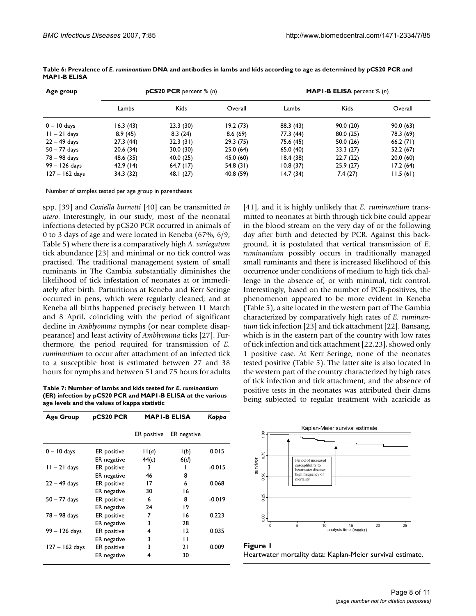| Age group        |           | $pCS20$ PCR percent $% (n)$ |           |           | <b>MAPI-B ELISA</b> percent % (n) |           |
|------------------|-----------|-----------------------------|-----------|-----------|-----------------------------------|-----------|
|                  | Lambs     | Kids                        | Overall   | Lambs     | <b>Kids</b>                       | Overall   |
| $0 - 10$ days    | 16.3(43)  | 23.3(30)                    | 19.2(73)  | 88.3 (43) | 90.0(20)                          | 90.0(63)  |
| $11 - 21$ days   | 8.9(45)   | 8.3(24)                     | 8.6(69)   | 77.3 (44) | 80.0(25)                          | 78.3 (69) |
| $22 - 49$ days   | 27.3(44)  | 32.3(31)                    | 29.3(75)  | 75.6 (45) | 50.0(26)                          | 66.2(71)  |
| $50 - 77$ days   | 20.6(34)  | 30.0(30)                    | 25.0(64)  | 65.0(40)  | 33.3(27)                          | 52.2(67)  |
| 78 - 98 days     | 48.6 (35) | 40.0(25)                    | 45.0 (60) | 18.4(38)  | 22.7(22)                          | 20.0(60)  |
| $99 - 126$ days  | 42.9(14)  | 64.7(17)                    | 54.8(31)  | 10.8(37)  | 25.9(27)                          | 17.2(64)  |
| $127 - 162$ days | 34.3 (32) | 48.1 (27)                   | 40.8 (59) | 14.7(34)  | 7.4(27)                           | 11.5(61)  |

**Table 6: Prevalence of** *E. ruminantium* **DNA and antibodies in lambs and kids according to age as determined by pCS20 PCR and MAP1-B ELISA**

Number of samples tested per age group in parentheses

spp. [39] and *Coxiella burnetti* [40] can be transmitted *in utero*. Interestingly, in our study, most of the neonatal infections detected by pCS20 PCR occurred in animals of 0 to 3 days of age and were located in Keneba (67%, 6/9; Table 5) where there is a comparatively high *A. variegatum* tick abundance [23] and minimal or no tick control was practised. The traditional management system of small ruminants in The Gambia substantially diminishes the likelihood of tick infestation of neonates at or immediately after birth. Parturitions at Keneba and Kerr Seringe occurred in pens, which were regularly cleaned; and at Keneba all births happened precisely between 11 March and 8 April, coinciding with the period of significant decline in *Amblyomma* nymphs (or near complete disappearance) and least activity of *Amblyomma* ticks [27]. Furthermore, the period required for transmission of *E. ruminantium* to occur after attachment of an infected tick to a susceptible host is estimated between 27 and 38 hours for nymphs and between 51 and 75 hours for adults

**Table 7: Number of lambs and kids tested for** *E. ruminantium*  **(ER) infection by pCS20 PCR and MAP1-B ELISA at the various age levels and the values of kappa statistic**

| Age Group      | pCS20 PCR          | <b>MAPI-B ELISA</b> | Карра       |          |
|----------------|--------------------|---------------------|-------------|----------|
|                |                    | ER positive         | ER negative |          |
| $0 - 10$ days  | <b>ER</b> positive | $\prod(a)$          | I(b)        | 0.015    |
|                | ER negative        | 44(c)               | 6(d)        |          |
| II-21 days     | <b>ER</b> positive | 3                   |             | $-0.015$ |
|                | ER negative        | 46                  | 8           |          |
| $22 - 49$ days | <b>ER</b> positive | 17                  | 6           | 0.068    |
|                | ER negative        | 30                  | 16          |          |
| $50 - 77$ days | <b>ER</b> positive | 6                   | 8           | $-0.019$ |
|                | ER negative        | 24                  | 19          |          |
| 78 – 98 days   | <b>ER</b> positive | 7                   | 16          | 0.223    |
|                | ER negative        | 3                   | 28          |          |
| 99 – 126 days  | <b>ER</b> positive | 4                   | 12          | 0.035    |
|                | ER negative        | 3                   | П           |          |
| 127 – 162 days | <b>ER</b> positive | 3                   | 21          | 0.009    |
|                | ER negative        | 4                   | 30          |          |

[41], and it is highly unlikely that *E. ruminantium* transmitted to neonates at birth through tick bite could appear in the blood stream on the very day of or the following day after birth and detected by PCR. Against this background, it is postulated that vertical transmission of *E. ruminantium* possibly occurs in traditionally managed small ruminants and there is increased likelihood of this occurrence under conditions of medium to high tick challenge in the absence of, or with minimal, tick control. Interestingly, based on the number of PCR-positives, the phenomenon appeared to be more evident in Keneba (Table 5), a site located in the western part of The Gambia characterized by comparatively high rates of *E. ruminantium* tick infection [23] and tick attachment [22]. Bansang, which is in the eastern part of the country with low rates of tick infection and tick attachment [22,23], showed only 1 positive case. At Kerr Seringe, none of the neonates tested positive (Table 5). The latter site is also located in the western part of the country characterized by high rates of tick infection and tick attachment; and the absence of positive tests in the neonates was attributed their dams being subjected to regular treatment with acaricide as



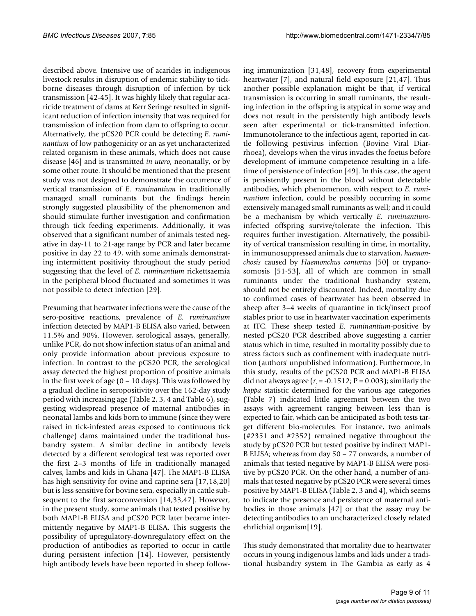described above. Intensive use of acarides in indigenous livestock results in disruption of endemic stability to tickborne diseases through disruption of infection by tick transmission [42-45]. It was highly likely that regular acaricide treatment of dams at Kerr Seringe resulted in significant reduction of infection intensity that was required for transmission of infection from dam to offspring to occur. Alternatively, the pCS20 PCR could be detecting *E. ruminantium* of low pathogenicity or an as yet uncharacterized related organism in these animals, which does not cause disease [46] and is transmitted *in utero*, neonatally, or by some other route. It should be mentioned that the present study was not designed to demonstrate the occurrence of vertical transmission of *E. ruminantium* in traditionally managed small ruminants but the findings herein strongly suggested plausibility of the phenomenon and should stimulate further investigation and confirmation through tick feeding experiments. Additionally, it was observed that a significant number of animals tested negative in day-11 to 21-age range by PCR and later became positive in day 22 to 49, with some animals demonstrating intermittent positivity throughout the study period suggesting that the level of *E. ruminantium* rickettsaemia in the peripheral blood fluctuated and sometimes it was not possible to detect infection [29].

Presuming that heartwater infections were the cause of the sero-positive reactions, prevalence of *E. ruminantium* infection detected by MAP1-B ELISA also varied, between 11.5% and 90%. However, serological assays, generally, unlike PCR, do not show infection status of an animal and only provide information about previous exposure to infection. In contrast to the pCS20 PCR, the serological assay detected the highest proportion of positive animals in the first week of age  $(0 - 10 \text{ days})$ . This was followed by a gradual decline in seropositivity over the 162-day study period with increasing age (Table 2, 3, 4 and Table 6), suggesting widespread presence of maternal antibodies in neonatal lambs and kids born to immune (since they were raised in tick-infested areas exposed to continuous tick challenge) dams maintained under the traditional husbandry system. A similar decline in antibody levels detected by a different serological test was reported over the first 2–3 months of life in traditionally managed calves, lambs and kids in Ghana [47]. The MAP1-B ELISA has high sensitivity for ovine and caprine sera [17,18,20] but is less sensitive for bovine sera, especially in cattle subsequent to the first seroconversion [14,33,47]. However, in the present study, some animals that tested positive by both MAP1-B ELISA and pCS20 PCR later became intermittently negative by MAP1-B ELISA. This suggests the possibility of upregulatory-downregulatory effect on the production of antibodies as reported to occur in cattle during persistent infection [14]. However, persistently high antibody levels have been reported in sheep following immunization [31,48], recovery from experimental heartwater [7], and natural field exposure [21,47]. Thus another possible explanation might be that, if vertical transmission is occurring in small ruminants, the resulting infection in the offspring is atypical in some way and does not result in the persistently high antibody levels seen after experimental or tick-transmitted infection. Immunotolerance to the infectious agent, reported in cattle following pestivirus infection (Bovine Viral Diarrhoea), develops when the virus invades the foetus before development of immune competence resulting in a lifetime of persistence of infection [49]. In this case, the agent is persistently present in the blood without detectable antibodies, which phenomenon, with respect to *E. ruminantium* infection, could be possibly occurring in some extensively managed small ruminants as well; and it could be a mechanism by which vertically *E. ruminantium*infected offspring survive/tolerate the infection. This requires further investigation. Alternatively, the possibility of vertical transmission resulting in time, in mortality, in immunosuppressed animals due to starvation, *haemonchosis* caused by *Haemonchus contortus* [50] or trypanosomosis [51-53], all of which are common in small ruminants under the traditional husbandry system, should not be entirely discounted. Indeed, mortality due to confirmed cases of heartwater has been observed in sheep after 3–4 weeks of quarantine in tick/insect proof stables prior to use in heartwater vaccination experiments at ITC. These sheep tested *E. ruminantium*-positive by nested pCS20 PCR described above suggesting a carrier status which in time, resulted in mortality possibly due to stress factors such as confinement with inadequate nutrition (authors' unpublished information). Furthermore, in this study, results of the pCS20 PCR and MAP1-B ELISA did not always agree  $(r<sub>s</sub> = -0.1512; P = 0.003)$ ; similarly the *kappa* statistic determined for the various age categories (Table 7) indicated little agreement between the two assays with agreement ranging between less than is expected to fair, which can be anticipated as both tests target different bio-molecules. For instance, two animals (#2351 and #2352) remained negative throughout the study by pCS20 PCR but tested positive by indirect MAP1- B ELISA; whereas from day 50 – 77 onwards, a number of animals that tested negative by MAP1-B ELISA were positive by pCS20 PCR. On the other hand, a number of animals that tested negative by pCS20 PCR were several times positive by MAP1-B ELISA (Table 2, 3 and 4), which seems to indicate the presence and persistence of maternal antibodies in those animals [47] or that the assay may be detecting antibodies to an uncharacterized closely related ehrlichial organism[19].

This study demonstrated that mortality due to heartwater occurs in young indigenous lambs and kids under a traditional husbandry system in The Gambia as early as 4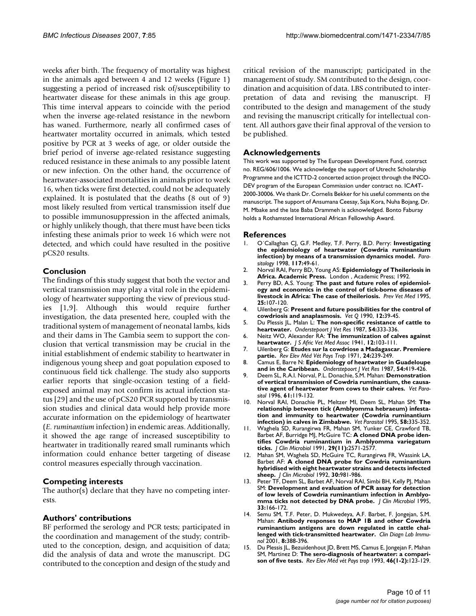weeks after birth. The frequency of mortality was highest in the animals aged between 4 and 12 weeks (Figure 1) suggesting a period of increased risk of/susceptibility to heartwater disease for these animals in this age group. This time interval appears to coincide with the period when the inverse age-related resistance in the newborn has waned. Furthermore, nearly all confirmed cases of heartwater mortality occurred in animals, which tested positive by PCR at 3 weeks of age, or older outside the brief period of inverse age-related resistance suggesting reduced resistance in these animals to any possible latent or new infection. On the other hand, the occurrence of heartwater-associated mortalities in animals prior to week 16, when ticks were first detected, could not be adequately explained. It is postulated that the deaths (8 out of 9) most likely resulted from vertical transmission itself due to possible immunosuppression in the affected animals, or highly unlikely though, that there must have been ticks infesting these animals prior to week 16 which were not detected, and which could have resulted in the positive pCS20 results.

# **Conclusion**

The findings of this study suggest that both the vector and vertical transmission may play a vital role in the epidemiology of heartwater supporting the view of previous studies [1,9]. Although this would require further investigation, the data presented here, coupled with the traditional system of management of neonatal lambs, kids and their dams in The Gambia seem to support the conclusion that vertical transmission may be crucial in the initial establishment of endemic stability to heartwater in indigenous young sheep and goat population exposed to continuous field tick challenge. The study also supports earlier reports that single-occasion testing of a fieldexposed animal may not confirm its actual infection status [29] and the use of pCS20 PCR supported by transmission studies and clinical data would help provide more accurate information on the epidemiology of heartwater (*E. ruminantium* infection) in endemic areas. Additionally, it showed the age range of increased susceptibility to heartwater in traditionally reared small ruminants which information could enhance better targeting of disease control measures especially through vaccination.

# **Competing interests**

The author(s) declare that they have no competing interests.

# **Authors' contributions**

BF performed the serology and PCR tests; participated in the coordination and management of the study; contributed to the conception, design, and acquisition of data; did the analysis of data and wrote the manuscript. DG contributed to the conception and design of the study and

critical revision of the manuscript; participated in the management of study. SM contributed to the design, coordination and acquisition of data. LBS contributed to interpretation of data and revising the manuscript. FJ contributed to the design and management of the study and revising the manuscript critically for intellectual content. All authors gave their final approval of the version to be published.

# **Acknowledgements**

This work was supported by The European Development Fund, contract no. REG/606/1006. We acknowledge the support of Utrecht Scholarship Programme and the ICTTD-2 concerted action project through the INCO-DEV program of the European Commission under contract no. ICA4T-2000-30006. We thank Dr. Cornelis Bekker for his useful comments on the manuscript. The support of Ansumana Ceesay, Saja Kora, Nuha Bojang, Dr. M. Mbake and the late Baba Drammeh is acknowledged. Bonto Faburay holds a Rothamsted International African Fellowship Award.

#### **References**

- 1. O´Callaghan CJ, G.F. Medley, T.F. Perry, B.D. Perry: **[Investigating](http://www.ncbi.nlm.nih.gov/entrez/query.fcgi?cmd=Retrieve&db=PubMed&dopt=Abstract&list_uids=9695100) [the epidemiology of heartwater \(Cowdria ruminantium](http://www.ncbi.nlm.nih.gov/entrez/query.fcgi?cmd=Retrieve&db=PubMed&dopt=Abstract&list_uids=9695100) [infection\) by means of a transmission dynamics model.](http://www.ncbi.nlm.nih.gov/entrez/query.fcgi?cmd=Retrieve&db=PubMed&dopt=Abstract&list_uids=9695100)** *Parasitology* 1998, **117:**49-61.
- 2. Norval RAI, Perry BD, Young AS: **Epidemiology of Theileriosis in Africa. Academic Press.** London , Academic Press; 1992.
- 3. Perry BD, A.S. Young: **The past and future roles of epidemiology and economics in the control of tick-borne diseases of livestock in Africa: The case of theileriosis.** *Prev Vet Med* 1995, **25:**107-120.
- 4. Uilenberg G: **[Present and future possibilities for the control of](http://www.ncbi.nlm.nih.gov/entrez/query.fcgi?cmd=Retrieve&db=PubMed&dopt=Abstract&list_uids=2181779) [cowdriosis and anaplasmosis.](http://www.ncbi.nlm.nih.gov/entrez/query.fcgi?cmd=Retrieve&db=PubMed&dopt=Abstract&list_uids=2181779)** *Vet Q* 1990, **12:**39-45.
- 5. Du Plessis JL, Malan L: **[The non-specific resistance of cattle to](http://www.ncbi.nlm.nih.gov/entrez/query.fcgi?cmd=Retrieve&db=PubMed&dopt=Abstract&list_uids=3448568) [heartwater.](http://www.ncbi.nlm.nih.gov/entrez/query.fcgi?cmd=Retrieve&db=PubMed&dopt=Abstract&list_uids=3448568)** *Onderstepoort J Vet Res* 1987, **54:**333-336.
- 6. Neitz WO, Alexander RA: **The immunization of calves against heartwater.** *J S Afric Vet Med Assoc* 1941, **12:**103-111.
- 7. Uilenberg G: **Etudes sur la cowdriose a Madagascar. Premiere partie.** *Rev Elev Méd Vét Pays Trop* 1971, **24:**239-249.
- 8. Camus E, Barre N: **[Epidemiology of heartwater in Guadeloupe](http://www.ncbi.nlm.nih.gov/entrez/query.fcgi?cmd=Retrieve&db=PubMed&dopt=Abstract&list_uids=3448572) [and in the Caribbean.](http://www.ncbi.nlm.nih.gov/entrez/query.fcgi?cmd=Retrieve&db=PubMed&dopt=Abstract&list_uids=3448572)** *Onderstepoort J Vet Res* 1987, **54:**419-426.
- 9. Deem SL, R.A.I. Norval, P.L. Donachie, S.M. Mahan: **[Demonstration](http://www.ncbi.nlm.nih.gov/entrez/query.fcgi?cmd=Retrieve&db=PubMed&dopt=Abstract&list_uids=8750689) [of vertical transmission of Cowdria ruminantium, the causa](http://www.ncbi.nlm.nih.gov/entrez/query.fcgi?cmd=Retrieve&db=PubMed&dopt=Abstract&list_uids=8750689)[tive agent of heartwater from cows to their calves.](http://www.ncbi.nlm.nih.gov/entrez/query.fcgi?cmd=Retrieve&db=PubMed&dopt=Abstract&list_uids=8750689)** *Vet Parasitol* 1996, **61:**119-132.
- 10. Norval RAI, Donachie PL, Meltzer MI, Deem SL, Mahan SM: **[The](http://www.ncbi.nlm.nih.gov/entrez/query.fcgi?cmd=Retrieve&db=PubMed&dopt=Abstract&list_uids=8533273) relationship between tick (Amblyomma hebraeum) infesta[tion and immunity to heartwater \(Cowdria ruminantium](http://www.ncbi.nlm.nih.gov/entrez/query.fcgi?cmd=Retrieve&db=PubMed&dopt=Abstract&list_uids=8533273) [infection\) in calves in Zimbabwe.](http://www.ncbi.nlm.nih.gov/entrez/query.fcgi?cmd=Retrieve&db=PubMed&dopt=Abstract&list_uids=8533273)** *Vet Parasitol* 1995, **58:**335-352.
- 11. Waghela SD, Rurangirwa FR, Mahan SM, Yunker CE, Crawford TB, Barbet AF, Burridge MJ, McGuire TC: **[A cloned DNA probe iden](http://www.ncbi.nlm.nih.gov/entrez/query.fcgi?cmd=Retrieve&db=PubMed&dopt=Abstract&list_uids=1774264)[tifies Cowdria ruminantium in Amblyomma variegatum](http://www.ncbi.nlm.nih.gov/entrez/query.fcgi?cmd=Retrieve&db=PubMed&dopt=Abstract&list_uids=1774264) [ticks.](http://www.ncbi.nlm.nih.gov/entrez/query.fcgi?cmd=Retrieve&db=PubMed&dopt=Abstract&list_uids=1774264)** *J Clin Microbiol* 1991, **29(11):**2571-2577.
- 12. Mahan SM, Waghela SD, McGuire TC, Rurangirwa FR, Wassink LA, Barbet AF: **[A cloned DNA probe for Cowdria ruminantium](http://www.ncbi.nlm.nih.gov/entrez/query.fcgi?cmd=Retrieve&db=PubMed&dopt=Abstract&list_uids=1572987) [hybridised with eight heartwater strains and detects infected](http://www.ncbi.nlm.nih.gov/entrez/query.fcgi?cmd=Retrieve&db=PubMed&dopt=Abstract&list_uids=1572987) [sheep.](http://www.ncbi.nlm.nih.gov/entrez/query.fcgi?cmd=Retrieve&db=PubMed&dopt=Abstract&list_uids=1572987)** *J Clin Microbiol* 1992, **30:**981-986.
- 13. Peter TF, Deem SL, Barbet AF, Norval RAI, Simbi BH, Kelly PJ, Mahan SM: **[Development and evaluation of PCR assay for detection](http://www.ncbi.nlm.nih.gov/entrez/query.fcgi?cmd=Retrieve&db=PubMed&dopt=Abstract&list_uids=7699036) [of low levels of Cowdria ruminantium infection in Amblyo](http://www.ncbi.nlm.nih.gov/entrez/query.fcgi?cmd=Retrieve&db=PubMed&dopt=Abstract&list_uids=7699036)[mma ticks not detected by DNA probe.](http://www.ncbi.nlm.nih.gov/entrez/query.fcgi?cmd=Retrieve&db=PubMed&dopt=Abstract&list_uids=7699036)** *J Clin Microbiol* 1995, **33:**166-172.
- 14. Semu SM, T.F. Peter, D. Mukwedeya, A.F. Barbet, F. Jongejan, S.M. Mahan: **[Antibody responses to MAP 1B and other Cowdria](http://www.ncbi.nlm.nih.gov/entrez/query.fcgi?cmd=Retrieve&db=PubMed&dopt=Abstract&list_uids=11238227) [ruminantium antigens are down regulated in cattle chal](http://www.ncbi.nlm.nih.gov/entrez/query.fcgi?cmd=Retrieve&db=PubMed&dopt=Abstract&list_uids=11238227)[lenged with tick-transmitted heartwater.](http://www.ncbi.nlm.nih.gov/entrez/query.fcgi?cmd=Retrieve&db=PubMed&dopt=Abstract&list_uids=11238227)** *Clin Diagn Lab Immunol* 2001, **8:**388-396.
- 15. Du Plessis JL, Bezuidenhout JD, Brett MS, Camus E, Jongejan F, Mahan SM, Martinez D: **The sero-diagnosis of heartwater: a comparison of five tests.** *Rev Elev Méd vét Pays trop* 1993, **46(1-2):**123-129.